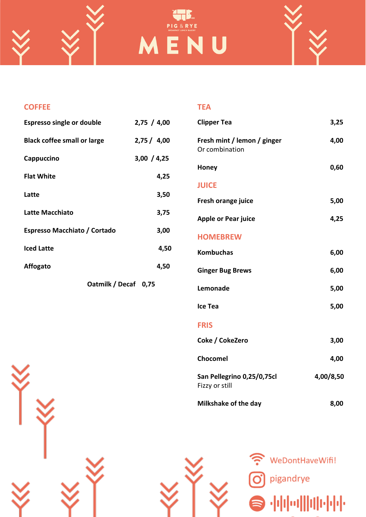



| <b>COFFEE</b>                       |             | <b>TEA</b>                          |
|-------------------------------------|-------------|-------------------------------------|
| <b>Espresso single or double</b>    | 2,75 / 4,00 | <b>Clipper Tea</b>                  |
| <b>Black coffee small or large</b>  | 2,75/4,00   | Fresh mint / lemo<br>Or combination |
| Cappuccino                          | 3,00 / 4,25 | Honey                               |
| <b>Flat White</b>                   | 4,25        | <b>JUICE</b>                        |
| Latte                               | 3,50        | Fresh orange juice                  |
| Latte Macchiato                     | 3,75        | Apple or Pear juic                  |
| <b>Espresso Macchiato / Cortado</b> | 3,00        | <b>HOMEBREW</b>                     |
| <b>Iced Latte</b>                   | 4,50        | <b>Kombuchas</b>                    |
| <b>Affogato</b>                     | 4,50        | <b>Ginger Bug Brews</b>             |

**Oatmilk / Decaf 0,75**

| <b>Clipper Tea</b>                            | 3,25      |
|-----------------------------------------------|-----------|
| Fresh mint / lemon / ginger<br>Or combination | 4,00      |
| Honey                                         | 0,60      |
| <b>JUICE</b>                                  |           |
| Fresh orange juice                            | 5,00      |
| <b>Apple or Pear juice</b>                    | 4,25      |
| <b>HOMEBREW</b>                               |           |
| <b>Kombuchas</b>                              | 6,00      |
| <b>Ginger Bug Brews</b>                       | 6,00      |
| Lemonade                                      | 5,00      |
| Ice Tea                                       | 5,00      |
| <b>FRIS</b>                                   |           |
| Coke / CokeZero                               | 3,00      |
| Chocomel                                      | 4,00      |
| San Pellegrino 0,25/0,75cl<br>Fizzy or still  | 4,00/8,50 |

**Milkshake of the day 8,00**